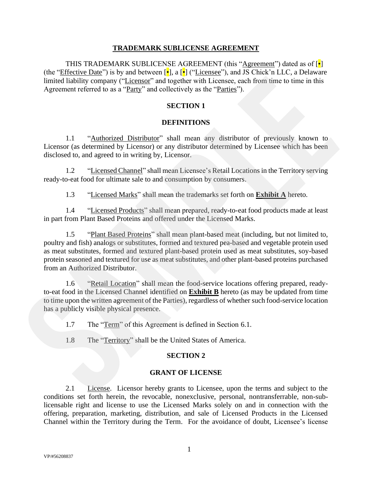#### **TRADEMARK SUBLICENSE AGREEMENT**

THIS TRADEMARK SUBLICENSE AGREEMENT (this "Agreement") dated as of [•] (the "*Effective Date"*) is by and between  $[\cdot]$ , a  $[\cdot]$  ("Licensee"), and JS Chick'n LLC, a Delaware limited liability company ("Licensor" and together with Licensee, each from time to time in this Agreement referred to as a "Party" and collectively as the "Parties").

## **SECTION 1**

#### **DEFINITIONS**

1.1 "Authorized Distributor" shall mean any distributor of previously known to Licensor (as determined by Licensor) or any distributor determined by Licensee which has been disclosed to, and agreed to in writing by, Licensor.

1.2 "Licensed Channel" shall mean Licensee's Retail Locations in the Territory serving ready-to-eat food for ultimate sale to and consumption by consumers.

1.3 "Licensed Marks" shall mean the trademarks set forth on **Exhibit A** hereto.

1.4 "Licensed Products" shall mean prepared, ready-to-eat food products made at least in part from Plant Based Proteins and offered under the Licensed Marks.

1.5 "Plant Based Proteins" shall mean plant-based meat (including, but not limited to, poultry and fish) analogs or substitutes, formed and textured pea-based and vegetable protein used as meat substitutes, formed and textured plant-based protein used as meat substitutes, soy-based protein seasoned and textured for use as meat substitutes, and other plant-based proteins purchased from an Authorized Distributor. imited inhitity company ("Licensor" and regalicar with Licensoc, each from time to time in this<br>Agreement referred to as a "<u>Party</u>" and columntary as the "Parties").<br> **SECTION 1**<br> **SECTION 1**<br> **SECTION 1**<br> **SECTION 1**<br>

1.6 "Retail Location" shall mean the food-service locations offering prepared, readyto-eat food in the Licensed Channel identified on **Exhibit B** hereto (as may be updated from time to time upon the written agreement of the Parties), regardless of whether such food-service location has a publicly visible physical presence.

1.7 The "Term" of this Agreement is defined in Section 6.1.

1.8 The "Territory" shall be the United States of America.

### **SECTION 2**

#### **GRANT OF LICENSE**

2.1 License. Licensor hereby grants to Licensee, upon the terms and subject to the conditions set forth herein, the revocable, nonexclusive, personal, nontransferrable, non-sublicensable right and license to use the Licensed Marks solely on and in connection with the offering, preparation, marketing, distribution, and sale of Licensed Products in the Licensed Channel within the Territory during the Term. For the avoidance of doubt, Licensee's license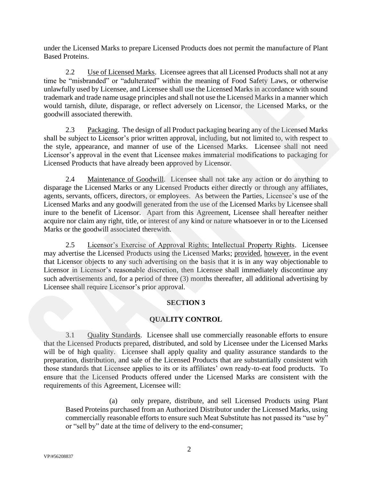under the Licensed Marks to prepare Licensed Products does not permit the manufacture of Plant Based Proteins.

2.2 Use of Licensed Marks. Licensee agrees that all Licensed Products shall not at any time be "misbranded" or "adulterated" within the meaning of Food Safety Laws, or otherwise unlawfully used by Licensee, and Licensee shall use the Licensed Marks in accordance with sound trademark and trade name usage principles and shall not use the Licensed Marks in a manner which would tarnish, dilute, disparage, or reflect adversely on Licensor, the Licensed Marks, or the goodwill associated therewith.

2.3 Packaging. The design of all Product packaging bearing any of the Licensed Marks shall be subject to Licensor's prior written approval, including, but not limited to, with respect to the style, appearance, and manner of use of the Licensed Marks. Licensee shall not need Licensor's approval in the event that Licensee makes immaterial modifications to packaging for Licensed Products that have already been approved by Licensor.

2.4 Maintenance of Goodwill. Licensee shall not take any action or do anything to disparage the Licensed Marks or any Licensed Products either directly or through any affiliates, agents, servants, officers, directors, or employees. As between the Parties, Licensee's use of the Licensed Marks and any goodwill generated from the use of the Licensed Marks by Licensee shall inure to the benefit of Licensor. Apart from this Agreement, Licensee shall hereafter neither acquire nor claim any right, title, or interest of any kind or nature whatsoever in or to the Licensed Marks or the goodwill associated therewith.

2.5 Licensor's Exercise of Approval Rights; Intellectual Property Rights. Licensee may advertise the Licensed Products using the Licensed Marks; provided, however, in the event that Licensor objects to any such advertising on the basis that it is in any way objectionable to Licensor in Licensor's reasonable discretion, then Licensee shall immediately discontinue any such advertisements and, for a period of three (3) months thereafter, all additional advertising by Licensee shall require Licensor's prior approval.

## **SECTION 3**

## **QUALITY CONTROL**

3.1 Quality Standards. Licensee shall use commercially reasonable efforts to ensure that the Licensed Products prepared, distributed, and sold by Licensee under the Licensed Marks will be of high quality. Licensee shall apply quality and quality assurance standards to the preparation, distribution, and sale of the Licensed Products that are substantially consistent with those standards that Licensee applies to its or its affiliates' own ready-to-eat food products. To ensure that the Licensed Products offered under the Licensed Marks are consistent with the requirements of this Agreement, Licensee will: time Sc<sup>-</sup>males match" or "additentar" within the meaning of Totol Stafet Laws, or ordervise unlawfully used by License, and Licenses shall use the Licensed Marks in accordance with sound trackenat and trackenat and the co

> (a) only prepare, distribute, and sell Licensed Products using Plant Based Proteins purchased from an Authorized Distributor under the Licensed Marks, using commercially reasonable efforts to ensure such Meat Substitute has not passed its "use by" or "sell by" date at the time of delivery to the end-consumer;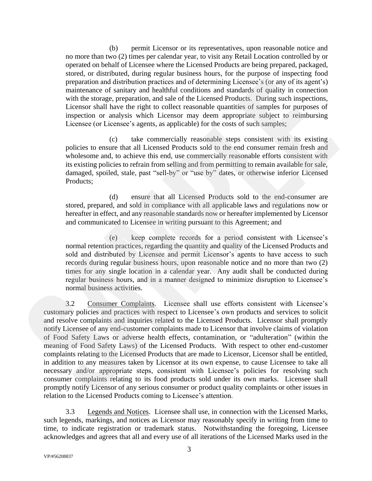(b) permit Licensor or its representatives, upon reasonable notice and no more than two (2) times per calendar year, to visit any Retail Location controlled by or operated on behalf of Licensee where the Licensed Products are being prepared, packaged, stored, or distributed, during regular business hours, for the purpose of inspecting food preparation and distribution practices and of determining Licensee's (or any of its agent's) maintenance of sanitary and healthful conditions and standards of quality in connection with the storage, preparation, and sale of the Licensed Products. During such inspections, Licensor shall have the right to collect reasonable quantities of samples for purposes of inspection or analysis which Licensor may deem appropriate subject to reimbursing Licensee (or Licensee's agents, as applicable) for the costs of such samples;

(c) take commercially reasonable steps consistent with its existing policies to ensure that all Licensed Products sold to the end consumer remain fresh and wholesome and, to achieve this end, use commercially reasonable efforts consistent with its existing policies to refrain from selling and from permitting to remain available for sale, damaged, spoiled, stale, past "sell-by" or "use by" dates, or otherwise inferior Licensed Products;

(d) ensure that all Licensed Products sold to the end-consumer are stored, prepared, and sold in compliance with all applicable laws and regulations now or hereafter in effect, and any reasonable standards now or hereafter implemented by Licensor and communicated to Licensee in writing pursuant to this Agreement; and

(e) keep complete records for a period consistent with Licensee's normal retention practices, regarding the quantity and quality of the Licensed Products and sold and distributed by Licensee and permit Licensor's agents to have access to such records during regular business hours, upon reasonable notice and no more than two (2) times for any single location in a calendar year. Any audit shall be conducted during regular business hours, and in a manner designed to minimize disruption to Licensee's normal business activities.

3.2 Consumer Complaints. Licensee shall use efforts consistent with Licensee's customary policies and practices with respect to Licensee's own products and services to solicit and resolve complaints and inquiries related to the Licensed Products. Licensor shall promptly notify Licensee of any end-customer complaints made to Licensor that involve claims of violation of Food Safety Laws or adverse health effects, contamination, or "adulteration" (within the meaning of Food Safety Laws) of the Licensed Products. With respect to other end-customer complaints relating to the Licensed Products that are made to Licensor, Licensor shall be entitled, in addition to any measures taken by Licensor at its own expense, to cause Licensee to take all necessary and/or appropriate steps, consistent with Licensee's policies for resolving such consumer complaints relating to its food products sold under its own marks. Licensee shall promptly notify Licensor of any serious consumer or product quality complaints or other issues in relation to the Licensed Products coming to Licensee's attention. stock, or androided complete the tractic state of the phase of the particle control and the complete the state of the state of the state of the state of the state of the state of the state of the state of the state of the

3.3 Legends and Notices. Licensee shall use, in connection with the Licensed Marks, such legends, markings, and notices as Licensor may reasonably specify in writing from time to time, to indicate registration or trademark status. Notwithstanding the foregoing, Licensee acknowledges and agrees that all and every use of all iterations of the Licensed Marks used in the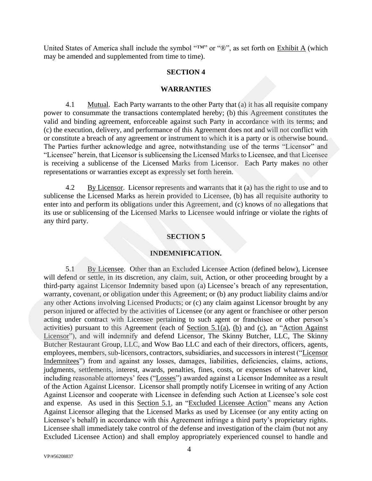United States of America shall include the symbol "™" or "®", as set forth on Exhibit A (which may be amended and supplemented from time to time).

#### **SECTION 4**

#### **WARRANTIES**

4.1 Mutual. Each Party warrants to the other Party that (a) it has all requisite company power to consummate the transactions contemplated hereby; (b) this Agreement constitutes the valid and binding agreement, enforceable against such Party in accordance with its terms; and (c) the execution, delivery, and performance of this Agreement does not and will not conflict with or constitute a breach of any agreement or instrument to which it is a party or is otherwise bound. The Parties further acknowledge and agree, notwithstanding use of the terms "Licensor" and "Licensee" herein, that Licensor is sublicensing the Licensed Marks to Licensee, and that Licensee is receiving a sublicense of the Licensed Marks from Licensor. Each Party makes no other representations or warranties except as expressly set forth herein.

4.2 By Licensor. Licensor represents and warrants that it (a) has the right to use and to sublicense the Licensed Marks as herein provided to Licensee, (b) has all requisite authority to enter into and perform its obligations under this Agreement, and (c) knows of no allegations that its use or sublicensing of the Licensed Marks to Licensee would infringe or violate the rights of any third party.

#### **SECTION 5**

#### **INDEMNIFICATION.**

5.1 By Licensee. Other than an Excluded Licensee Action (defined below), Licensee will defend or settle, in its discretion, any claim, suit, Action, or other proceeding brought by a third-party against Licensor Indemnity based upon (a) Licensee's breach of any representation, warranty, covenant, or obligation under this Agreement; or (b) any product liability claims and/or any other Actions involving Licensed Products; or (c) any claim against Licensor brought by any person injured or affected by the activities of Licensee (or any agent or franchisee or other person acting under contract with Licensee pertaining to such agent or franchisee or other person's activities) pursuant to this Agreement (each of Section 5.1(a), (b) and (c), an "Action Against Licensor"), and will indemnify and defend Licensor, The Skinny Butcher, LLC, The Skinny Butcher Restaurant Group, LLC, and Wow Bao LLC and each of their directors, officers, agents, employees, members, sub-licensors, contractors, subsidiaries, and successors in interest ("Licensor Indemnitees") from and against any losses, damages, liabilities, deficiencies, claims, actions, judgments, settlements, interest, awards, penalties, fines, costs, or expenses of whatever kind, including reasonable attorneys' fees ("Losses") awarded against a Licensor Indemnitee as a result of the Action Against Licensor. Licensor shall promptly notify Licensee in writing of any Action Against Licensor and cooperate with Licensee in defending such Action at Licensee's sole cost and expense. As used in this Section 5.1, an "Excluded Licensee Action" means any Action Against Licensor alleging that the Licensed Marks as used by Licensee (or any entity acting on Licensee's behalf) in accordance with this Agreement infringe a third party's proprietary rights. Licensee shall immediately take control of the defense and investigation of the claim (but not any Excluded Licensee Action) and shall employ appropriately experienced counsel to handle and **WARKANTIES**<br>
WARKANTIES<br>
1.1 **WARKANTIES**<br>
2.1 **WARKANTIES**<br>
2.1 **WARKANTIES**<br>
2.1 **WARKANTIES**<br>
2.1 **Example 1.1 Example 1.1 Example 1.1 Example 1.1 Example 1.1 C** the consumer the thermal constance with its t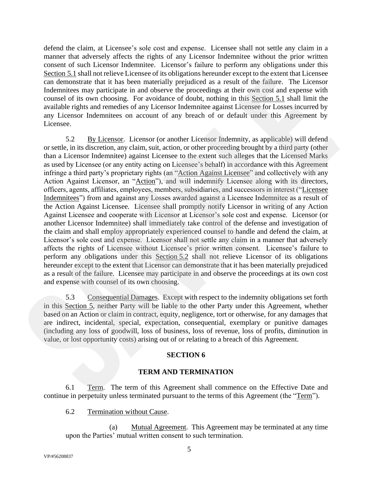defend the claim, at Licensee's sole cost and expense. Licensee shall not settle any claim in a manner that adversely affects the rights of any Licensor Indemnitee without the prior written consent of such Licensor Indemnitee. Licensor's failure to perform any obligations under this Section 5.1 shall not relieve Licensee of its obligations hereunder except to the extent that Licensee can demonstrate that it has been materially prejudiced as a result of the failure. The Licensor Indemnitees may participate in and observe the proceedings at their own cost and expense with counsel of its own choosing. For avoidance of doubt, nothing in this Section 5.1 shall limit the available rights and remedies of any Licensor Indemnitee against Licensee for Losses incurred by any Licensor Indemnitees on account of any breach of or default under this Agreement by Licensee.

5.2 By Licensor. Licensor (or another Licensor Indemnity, as applicable) will defend or settle, in its discretion, any claim, suit, action, or other proceeding brought by a third party (other than a Licensor Indemnitee) against Licensee to the extent such alleges that the Licensed Marks as used by Licensee (or any entity acting on Licensee's behalf) in accordance with this Agreement infringe a third party's proprietary rights (an "Action Against Licensee" and collectively with any Action Against Licensor, an "Action"), and will indemnify Licensee along with its directors, officers, agents, affiliates, employees, members, subsidiaries, and successors in interest ("Licensee Indemnitees") from and against any Losses awarded against a Licensee Indemnitee as a result of the Action Against Licensee. Licensee shall promptly notify Licensor in writing of any Action Against Licensee and cooperate with Licensor at Licensor's sole cost and expense. Licensor (or another Licensor Indemnitee) shall immediately take control of the defense and investigation of the claim and shall employ appropriately experienced counsel to handle and defend the claim, at Licensor's sole cost and expense. Licensor shall not settle any claim in a manner that adversely affects the rights of Licensee without Licensee's prior written consent. Licensee's failure to perform any obligations under this Section 5.2 shall not relieve Licensor of its obligations hereunder except to the extent that Licensor can demonstrate that it has been materially prejudiced as a result of the failure. Licensee may participate in and observe the proceedings at its own cost and expense with counsel of its own choosing. **Example the line of the same of the same of the same of the same of the same of the same of the same of the same of the same of the same of the same of the same of the same of the same of the same of the same of the same** 

5.3 Consequential Damages. Except with respect to the indemnity obligations set forth in this Section 5, neither Party will be liable to the other Party under this Agreement, whether based on an Action or claim in contract, equity, negligence, tort or otherwise, for any damages that are indirect, incidental, special, expectation, consequential, exemplary or punitive damages (including any loss of goodwill, loss of business, loss of revenue, loss of profits, diminution in value, or lost opportunity costs) arising out of or relating to a breach of this Agreement.

## **SECTION 6**

## **TERM AND TERMINATION**

6.1 Term. The term of this Agreement shall commence on the Effective Date and continue in perpetuity unless terminated pursuant to the terms of this Agreement (the "Term").

6.2 Termination without Cause.

(a) Mutual Agreement. This Agreement may be terminated at any time upon the Parties' mutual written consent to such termination.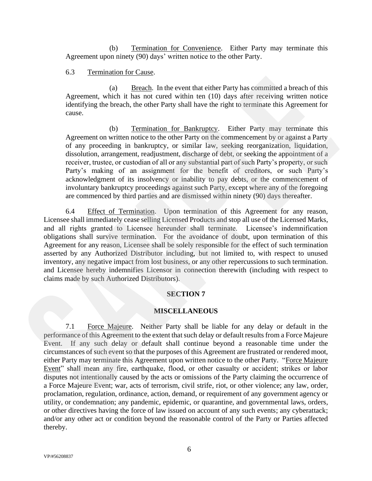(b) Termination for Convenience. Either Party may terminate this Agreement upon ninety (90) days' written notice to the other Party.

#### 6.3 Termination for Cause.

(a) Breach. In the event that either Party has committed a breach of this Agreement, which it has not cured within ten (10) days after receiving written notice identifying the breach, the other Party shall have the right to terminate this Agreement for cause.

(b) Termination for Bankruptcy. Either Party may terminate this Agreement on written notice to the other Party on the commencement by or against a Party of any proceeding in bankruptcy, or similar law, seeking reorganization, liquidation, dissolution, arrangement, readjustment, discharge of debt, or seeking the appointment of a receiver, trustee, or custodian of all or any substantial part of such Party's property, or such Party's making of an assignment for the benefit of creditors, or such Party's acknowledgment of its insolvency or inability to pay debts, or the commencement of involuntary bankruptcy proceedings against such Party, except where any of the foregoing are commenced by third parties and are dismissed within ninety (90) days thereafter.

6.4 Effect of Termination. Upon termination of this Agreement for any reason, Licensee shall immediately cease selling Licensed Products and stop all use of the Licensed Marks, and all rights granted to Licensee hereunder shall terminate. Licensee's indemnification obligations shall survive termination. For the avoidance of doubt, upon termination of this Agreement for any reason, Licensee shall be solely responsible for the effect of such termination asserted by any Authorized Distributor including, but not limited to, with respect to unused inventory, any negative impact from lost business, or any other repercussions to such termination. and Licensee hereby indemnifies Licensor in connection therewith (including with respect to claims made by such Authorized Distributors). **A**<br> **SECRIC ACTES ARENT (a) Breach**, In the event that either Party has committed a breach of this Adenterical within (10) days after receiving with<br>
identifying the brack, the other Party stylal have the right of termi

### **SECTION 7**

#### **MISCELLANEOUS**

7.1 Force Majeure. Neither Party shall be liable for any delay or default in the performance of this Agreement to the extent that such delay or default results from a Force Majeure Event. If any such delay or default shall continue beyond a reasonable time under the circumstances of such event so that the purposes of this Agreement are frustrated or rendered moot, either Party may terminate this Agreement upon written notice to the other Party. "Force Majeure Event" shall mean any fire, earthquake, flood, or other casualty or accident; strikes or labor disputes not intentionally caused by the acts or omissions of the Party claiming the occurrence of a Force Majeure Event; war, acts of terrorism, civil strife, riot, or other violence; any law, order, proclamation, regulation, ordinance, action, demand, or requirement of any government agency or utility, or condemnation; any pandemic, epidemic, or quarantine, and governmental laws, orders, or other directives having the force of law issued on account of any such events; any cyberattack; and/or any other act or condition beyond the reasonable control of the Party or Parties affected thereby.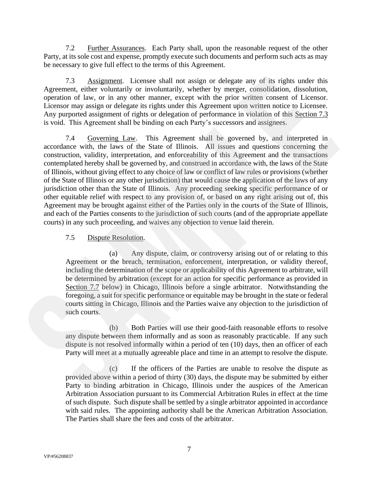7.2 Further Assurances. Each Party shall, upon the reasonable request of the other Party, at its sole cost and expense, promptly execute such documents and perform such acts as may be necessary to give full effect to the terms of this Agreement.

7.3 Assignment. Licensee shall not assign or delegate any of its rights under this Agreement, either voluntarily or involuntarily, whether by merger, consolidation, dissolution, operation of law, or in any other manner, except with the prior written consent of Licensor. Licensor may assign or delegate its rights under this Agreement upon written notice to Licensee. Any purported assignment of rights or delegation of performance in violation of this Section 7.3 is void. This Agreement shall be binding on each Party's successors and assignees.

7.4 Governing Law. This Agreement shall be governed by, and interpreted in accordance with, the laws of the State of Illinois. All issues and questions concerning the construction, validity, interpretation, and enforceability of this Agreement and the transactions contemplated hereby shall be governed by, and construed in accordance with, the laws of the State of Illinois, without giving effect to any choice of law or conflict of law rules or provisions (whether of the State of Illinois or any other jurisdiction) that would cause the application of the laws of any jurisdiction other than the State of Illinois. Any proceeding seeking specific performance of or other equitable relief with respect to any provision of, or based on any right arising out of, this Agreement may be brought against either of the Parties only in the courts of the State of Illinois, and each of the Parties consents to the jurisdiction of such courts (and of the appropriate appellate courts) in any such proceeding, and waives any objection to venue laid therein. 7.3 Assignmant Lisensee shall not assign or deligits current its consideration of the reaction constant in consideration of the constrained of the consideration of the value of the space of the space of the space of the sp

## 7.5 Dispute Resolution.

(a) Any dispute, claim, or controversy arising out of or relating to this Agreement or the breach, termination, enforcement, interpretation, or validity thereof, including the determination of the scope or applicability of this Agreement to arbitrate, will be determined by arbitration (except for an action for specific performance as provided in Section 7.7 below) in Chicago, Illinois before a single arbitrator. Notwithstanding the foregoing, a suit for specific performance or equitable may be brought in the state or federal courts sitting in Chicago, Illinois and the Parties waive any objection to the jurisdiction of such courts.

(b) Both Parties will use their good-faith reasonable efforts to resolve any dispute between them informally and as soon as reasonably practicable. If any such dispute is not resolved informally within a period of ten (10) days, then an officer of each Party will meet at a mutually agreeable place and time in an attempt to resolve the dispute.

(c) If the officers of the Parties are unable to resolve the dispute as provided above within a period of thirty (30) days, the dispute may be submitted by either Party to binding arbitration in Chicago, Illinois under the auspices of the American Arbitration Association pursuant to its Commercial Arbitration Rules in effect at the time of such dispute. Such dispute shall be settled by a single arbitrator appointed in accordance with said rules. The appointing authority shall be the American Arbitration Association. The Parties shall share the fees and costs of the arbitrator.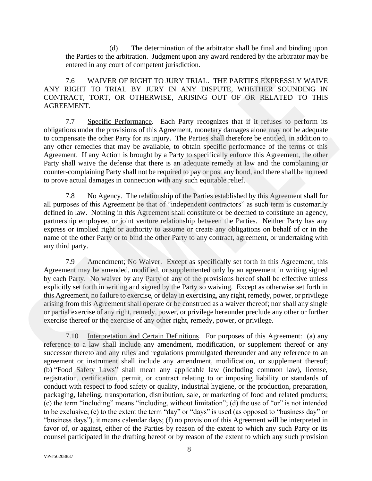(d) The determination of the arbitrator shall be final and binding upon the Parties to the arbitration. Judgment upon any award rendered by the arbitrator may be entered in any court of competent jurisdiction.

7.6 WAIVER OF RIGHT TO JURY TRIAL. THE PARTIES EXPRESSLY WAIVE ANY RIGHT TO TRIAL BY JURY IN ANY DISPUTE, WHETHER SOUNDING IN CONTRACT, TORT, OR OTHERWISE, ARISING OUT OF OR RELATED TO THIS AGREEMENT.

7.7 Specific Performance. Each Party recognizes that if it refuses to perform its obligations under the provisions of this Agreement, monetary damages alone may not be adequate to compensate the other Party for its injury. The Parties shall therefore be entitled, in addition to any other remedies that may be available, to obtain specific performance of the terms of this Agreement. If any Action is brought by a Party to specifically enforce this Agreement, the other Party shall waive the defense that there is an adequate remedy at law and the complaining or counter-complaining Party shall not be required to pay or post any bond, and there shall be no need to prove actual damages in connection with any such equitable relief.

7.8 No Agency. The relationship of the Parties established by this Agreement shall for all purposes of this Agreement be that of "independent contractors" as such term is customarily defined in law. Nothing in this Agreement shall constitute or be deemed to constitute an agency, partnership employee, or joint venture relationship between the Parties. Neither Party has any express or implied right or authority to assume or create any obligations on behalf of or in the name of the other Party or to bind the other Party to any contract, agreement, or undertaking with any third party.

7.9 Amendment; No Waiver. Except as specifically set forth in this Agreement, this Agreement may be amended, modified, or supplemented only by an agreement in writing signed by each Party. No waiver by any Party of any of the provisions hereof shall be effective unless explicitly set forth in writing and signed by the Party so waiving. Except as otherwise set forth in this Agreement, no failure to exercise, or delay in exercising, any right, remedy, power, or privilege arising from this Agreement shall operate or be construed as a waiver thereof; nor shall any single or partial exercise of any right, remedy, power, or privilege hereunder preclude any other or further exercise thereof or the exercise of any other right, remedy, power, or privilege. 7.6 WAMVER OE RIGHET TO LURY ITRAL. HE PARTIES EXPRESSIV WAIVE<br>NY RAY DEPARTEMENT TO TRIAL BY HEW IN ANY DISPUTE, WHETHER SOUNDING IN<br>CONTRACT, TORIC OR CHEIERWISE, ARISENG OUT OF OR RELATED TO THIS<br>CONTRACT, TORIC OR CHEI

7.10 Interpretation and Certain Definitions. For purposes of this Agreement: (a) any reference to a law shall include any amendment, modification, or supplement thereof or any successor thereto and any rules and regulations promulgated thereunder and any reference to an agreement or instrument shall include any amendment, modification, or supplement thereof; (b) "Food Safety Laws" shall mean any applicable law (including common law), license, registration, certification, permit, or contract relating to or imposing liability or standards of conduct with respect to food safety or quality, industrial hygiene, or the production, preparation, packaging, labeling, transportation, distribution, sale, or marketing of food and related products; (c) the term "including" means "including, without limitation"; (d) the use of "or" is not intended to be exclusive; (e) to the extent the term "day" or "days" is used (as opposed to "business day" or "business days"), it means calendar days; (f) no provision of this Agreement will be interpreted in favor of, or against, either of the Parties by reason of the extent to which any such Party or its counsel participated in the drafting hereof or by reason of the extent to which any such provision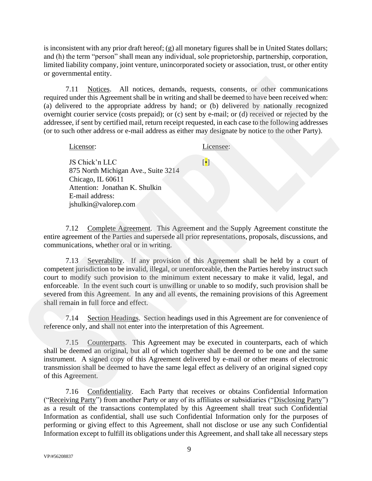is inconsistent with any prior draft hereof; (g) all monetary figures shall be in United States dollars; and (h) the term "person" shall mean any individual, sole proprietorship, partnership, corporation, limited liability company, joint venture, unincorporated society or association, trust, or other entity or governmental entity.

7.11 Notices. All notices, demands, requests, consents, or other communications required under this Agreement shall be in writing and shall be deemed to have been received when: (a) delivered to the appropriate address by hand; or (b) delivered by nationally recognized overnight courier service (costs prepaid); or (c) sent by e-mail; or (d) received or rejected by the addressee, if sent by certified mail, return receipt requested, in each case to the following addresses (or to such other address or e-mail address as either may designate by notice to the other Party).

Licensor: JS Chick'n LLC 875 North Michigan Ave., Suite 3214 Chicago, IL 60611 Attention: Jonathan K. Shulkin E-mail address: jshulkin@valorep.com Licensee:  $\lceil \bullet \rceil$ 

7.12 Complete Agreement. This Agreement and the Supply Agreement constitute the entire agreement of the Parties and supersede all prior representations, proposals, discussions, and communications, whether oral or in writing.

7.13 Severability. If any provision of this Agreement shall be held by a court of competent jurisdiction to be invalid, illegal, or unenforceable, then the Parties hereby instruct such court to modify such provision to the minimum extent necessary to make it valid, legal, and enforceable. In the event such court is unwilling or unable to so modify, such provision shall be severed from this Agreement. In any and all events, the remaining provisions of this Agreement shall remain in full force and effect. or Communications<br>
The Minister Communications<br>
required under linis Agreement stall the investige and shall be deemperature and the appropriate adding and shall be deemperature of the symptomic state by marticly the commu

7.14 Section Headings. Section headings used in this Agreement are for convenience of reference only, and shall not enter into the interpretation of this Agreement.

7.15 Counterparts. This Agreement may be executed in counterparts, each of which shall be deemed an original, but all of which together shall be deemed to be one and the same instrument. A signed copy of this Agreement delivered by e-mail or other means of electronic transmission shall be deemed to have the same legal effect as delivery of an original signed copy of this Agreement.

7.16 Confidentiality. Each Party that receives or obtains Confidential Information ("Receiving Party") from another Party or any of its affiliates or subsidiaries ("Disclosing Party") as a result of the transactions contemplated by this Agreement shall treat such Confidential Information as confidential, shall use such Confidential Information only for the purposes of performing or giving effect to this Agreement, shall not disclose or use any such Confidential Information except to fulfill its obligations under this Agreement, and shall take all necessary steps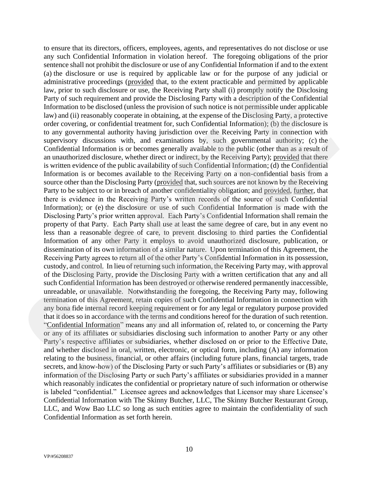to ensure that its directors, officers, employees, agents, and representatives do not disclose or use any such Confidential Information in violation hereof. The foregoing obligations of the prior sentence shall not prohibit the disclosure or use of any Confidential Information if and to the extent (a) the disclosure or use is required by applicable law or for the purpose of any judicial or administrative proceedings (provided that, to the extent practicable and permitted by applicable law, prior to such disclosure or use, the Receiving Party shall (i) promptly notify the Disclosing Party of such requirement and provide the Disclosing Party with a description of the Confidential Information to be disclosed (unless the provision of such notice is not permissible under applicable law) and (ii) reasonably cooperate in obtaining, at the expense of the Disclosing Party, a protective order covering, or confidential treatment for, such Confidential Information); (b) the disclosure is to any governmental authority having jurisdiction over the Receiving Party in connection with supervisory discussions with, and examinations by, such governmental authority; (c) the Confidential Information is or becomes generally available to the public (other than as a result of an unauthorized disclosure, whether direct or indirect, by the Receiving Party); provided that there is written evidence of the public availability of such Confidential Information; (d) the Confidential Information is or becomes available to the Receiving Party on a non-confidential basis from a source other than the Disclosing Party (provided that, such sources are not known by the Receiving Party to be subject to or in breach of another confidentiality obligation; and provided, further, that there is evidence in the Receiving Party's written records of the source of such Confidential Information); or (e) the disclosure or use of such Confidential Information is made with the Disclosing Party's prior written approval. Each Party's Confidential Information shall remain the property of that Party. Each Party shall use at least the same degree of care, but in any event no less than a reasonable degree of care, to prevent disclosing to third parties the Confidential Information of any other Party it employs to avoid unauthorized disclosure, publication, or dissemination of its own information of a similar nature. Upon termination of this Agreement, the Receiving Party agrees to return all of the other Party's Confidential Information in its possession, custody, and control. In lieu of returning such information, the Receiving Party may, with approval of the Disclosing Party, provide the Disclosing Party with a written certification that any and all such Confidential Information has been destroyed or otherwise rendered permanently inaccessible, unreadable, or unavailable. Notwithstanding the foregoing, the Receiving Party may, following termination of this Agreement, retain copies of such Confidential Information in connection with any bona fide internal record keeping requirement or for any legal or regulatory purpose provided that it does so in accordance with the terms and conditions hereof for the duration of such retention. "Confidential Information" means any and all information of, related to, or concerning the Party or any of its affiliates or subsidiaries disclosing such information to another Party or any other Party's respective affiliates or subsidiaries, whether disclosed on or prior to the Effective Date, and whether disclosed in oral, written, electronic, or optical form, including (A) any information relating to the business, financial, or other affairs (including future plans, financial targets, trade secrets, and know-how) of the Disclosing Party or such Party's affiliates or subsidiaries or (B) any information of the Disclosing Party or such Party's affiliates or subsidiaries provided in a manner which reasonably indicates the confidential or proprietary nature of such information or otherwise is labeled "confidential." Licensee agrees and acknowledges that Licensor may share Licensee's Confidential Information with The Skinny Butcher, LLC, The Skinny Butcher Restaurant Group, LLC, and Wow Bao LLC so long as such entities agree to maintain the confidentiality of such Confidential Information as set forth herein. (a) the such as the properties of the Properties (b) suppresses the vertex of the properties of the properties of the properties of the Disclosia Party in Control and permitted by applicable sub-<br>representation of most dis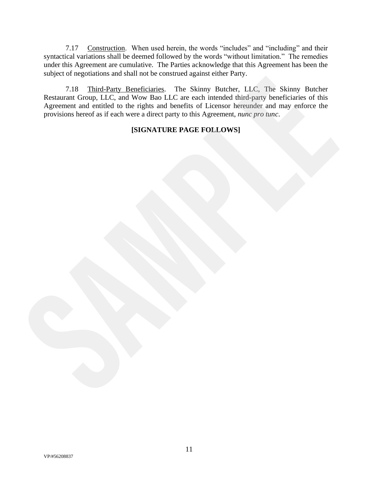7.17 Construction. When used herein, the words "includes" and "including" and their syntactical variations shall be deemed followed by the words "without limitation." The remedies under this Agreement are cumulative. The Parties acknowledge that this Agreement has been the subject of negotiations and shall not be construed against either Party.

7.18 Third-Party Beneficiaries. The Skinny Butcher, LLC, The Skinny Butcher Restaurant Group, LLC, and Wow Bao LLC are each intended third-party beneficiaries of this Agreement and entitled to the rights and benefits of Licensor hereunder and may enforce the provisions hereof as if each were a direct party to this Agreement, *nunc pro tunc*. Figure 11 and the state of the state of the state of the state of the state of the state of the state of the detail Group. Like the state of the state of the state of the state of the state of the state of the state of the

## **[SIGNATURE PAGE FOLLOWS]**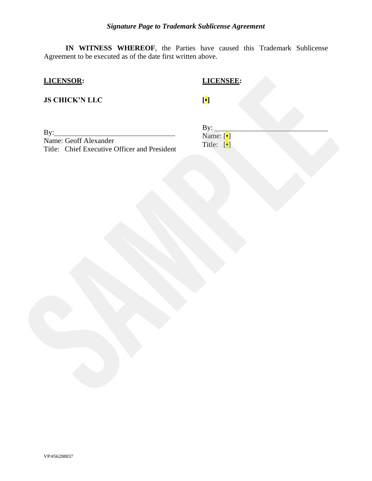**IN WITNESS WHEREOF**, the Parties have caused this Trademark Sublicense Agreement to be executed as of the date first written above.

## **LICENSOR:**

## **LICENSEE:**

**JS CHICK'N LLC**

By:

Name: Geoff Alexander Title: Chief Executive Officer and President **ILCENSER:**<br> **SCHICK'N LLC**<br>
Name: Greaf Txtexander<br>
This: Chief Txtexander<br>
The Chief Txtexander<br>
The Chief Txtexander<br>
The Chief Txtexander<br>
The Chief Txtexander<br>
The Chief Txtexander<br>
The Chief Txtexander<br>
The Chief Txt

**[•]**

 $By:$ Name: [•] Title: [•]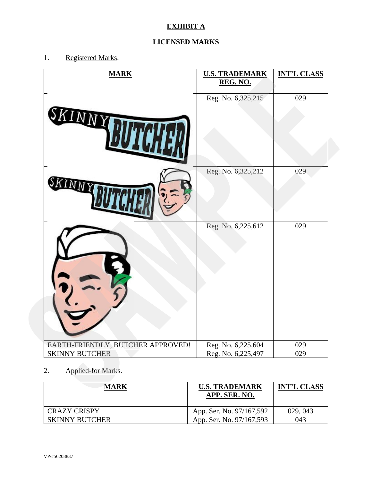# **EXHIBIT A**

# **LICENSED MARKS**

1. Registered Marks.

| <b>MARK</b>                                       | <b>U.S. TRADEMARK</b><br>REG. NO.     | <b>INT'L CLASS</b> |
|---------------------------------------------------|---------------------------------------|--------------------|
| SKINNY                                            | Reg. No. 6,325,215                    | 029                |
|                                                   | Reg. No. 6,325,212                    | 029                |
|                                                   | Reg. No. 6,225,612                    | 029                |
| EARTH-FRIENDLY, BUTCHER APPROVED!                 | Reg. No. 6,225,604                    | 029                |
| <b>SKINNY BUTCHER</b><br>Applied-for Marks.<br>2. | Reg. No. 6,225,497                    | 029                |
| <b>MARK</b>                                       | <b>U.S. TRADEMARK</b><br>APP, SER, NO | <b>INT'L CLASS</b> |

## 2. Applied-for Marks.

| <b>MARK</b>           | <b>U.S. TRADEMARK</b><br>APP. SER. NO. | <b>INT'L CLASS</b> |
|-----------------------|----------------------------------------|--------------------|
| <b>CRAZY CRISPY</b>   | App. Ser. No. 97/167,592               | 029, 043           |
| <b>SKINNY BUTCHER</b> | App. Ser. No. 97/167,593               | 043                |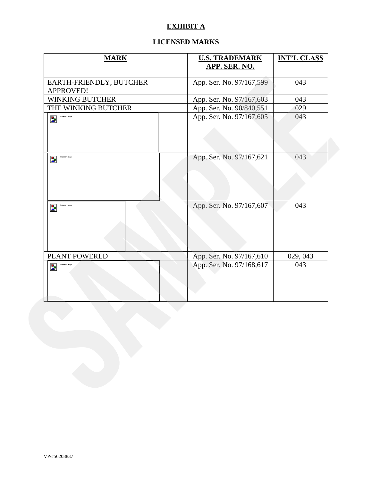## **EXHIBIT A**

## **LICENSED MARKS**

| <b>MARK</b>                          | <b>U.S. TRADEMARK</b><br>APP. SER. NO. | <b>INT'L CLASS</b><br>043<br>043 |  |
|--------------------------------------|----------------------------------------|----------------------------------|--|
| EARTH-FRIENDLY, BUTCHER<br>APPROVED! | App. Ser. No. 97/167,599               |                                  |  |
| WINKING BUTCHER                      | App. Ser. No. 97/167,603               |                                  |  |
| THE WINKING BUTCHER                  | App. Ser. No. 90/840,551               | 029                              |  |
| $\overline{\mathbf{z}}$              | App. Ser. No. 97/167,605               | 043                              |  |
| Trademark image<br>$\mathbf{z}_1$    | App. Ser. No. 97/167,621               | 043                              |  |
| $\mathbf{z}_1$                       | App. Ser. No. 97/167,607               | 043                              |  |
| PLANT POWERED                        | App. Ser. No. 97/167,610               | 029, 043                         |  |
| $\mathbf{z}$                         | App. Ser. No. 97/168,617               | 043                              |  |